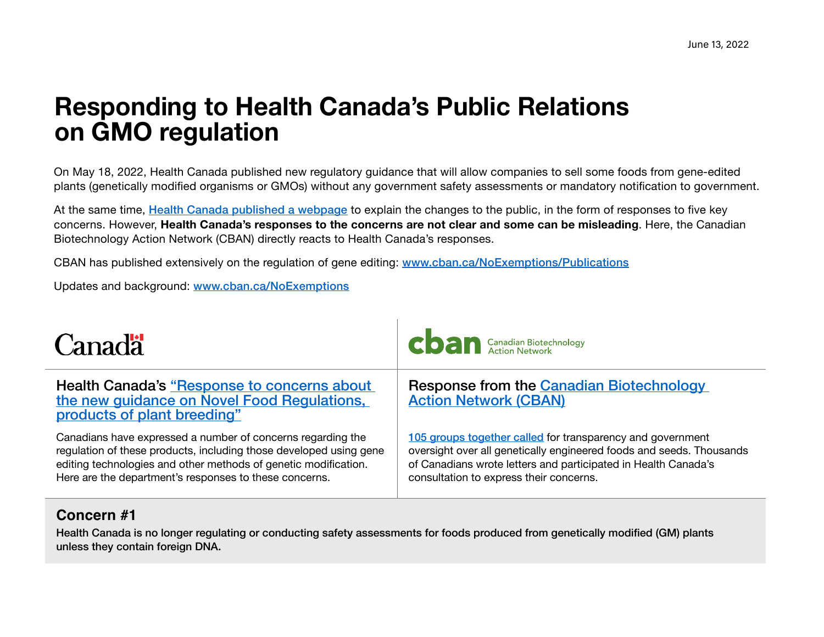# **Responding to Health Canada's Public Relations on GMO regulation**

On May 18, 2022, Health Canada published new regulatory guidance that will allow companies to sell some foods from gene-edited plants (genetically modified organisms or GMOs) without any government safety assessments or mandatory notification to government.

At the same time, [Health Canada published a webpage](https://www.canada.ca/en/health-canada/services/food-nutrition/legislation-guidelines/guidance-documents/guidelines-safety-assessment-novel-foods-derived-plants-microorganisms/response-concerns.html) to explain the changes to the public, in the form of responses to five key concerns. However, **Health Canada's responses to the concerns are not clear and some can be misleading**. Here, the Canadian Biotechnology Action Network (CBAN) directly reacts to Health Canada's responses.

CBAN has published extensively on the regulation of gene editing: [www.cban.ca/NoExemptions/Publications](http://www.cban.ca/NoExemptions/Publications)

Updates and background: [www.cban.ca/NoExemptions](http://www.cban.ca/NoExemptions)

| <b>Canada</b>                                                                                                                                                                                                                                                  | <b>CO</b> anadian Biotechnology                                                                                                                                                                                                                 |
|----------------------------------------------------------------------------------------------------------------------------------------------------------------------------------------------------------------------------------------------------------------|-------------------------------------------------------------------------------------------------------------------------------------------------------------------------------------------------------------------------------------------------|
| Health Canada's "Response to concerns about<br>the new guidance on Novel Food Regulations,<br>products of plant breeding"                                                                                                                                      | <b>Response from the Canadian Biotechnology</b><br><b>Action Network (CBAN)</b>                                                                                                                                                                 |
| Canadians have expressed a number of concerns regarding the<br>regulation of these products, including those developed using gene<br>editing technologies and other methods of genetic modification.<br>Here are the department's responses to these concerns. | 105 groups together called for transparency and government<br>oversight over all genetically engineered foods and seeds. Thousands<br>of Canadians wrote letters and participated in Health Canada's<br>consultation to express their concerns. |

#### **Concern #1**

Health Canada is no longer regulating or conducting safety assessments for foods produced from genetically modified (GM) plants unless they contain foreign DNA.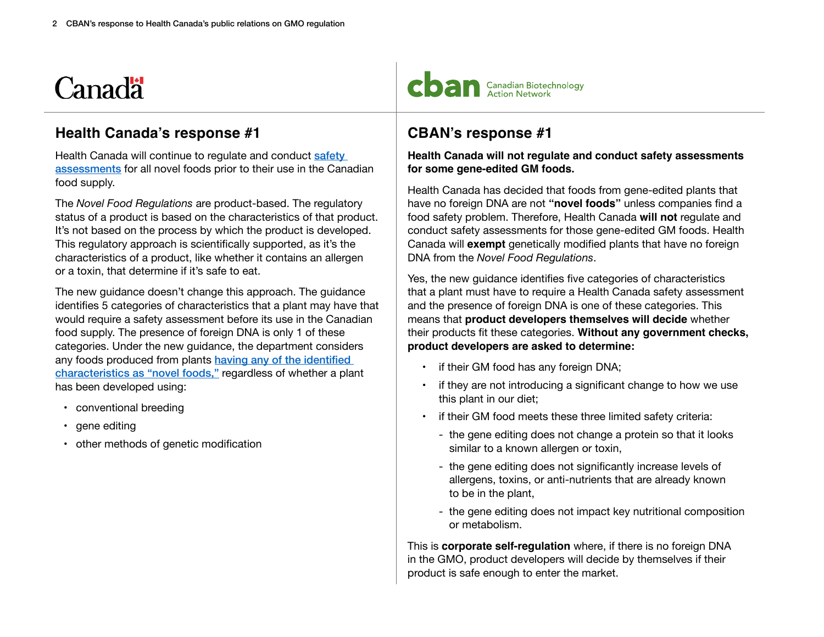#### **Health Canada's response #1**

Health Canada will continue to regulate and conduct safety [assessments](https://www.canada.ca/en/health-canada/services/food-nutrition/legislation-guidelines/guidance-documents/guidelines-safety-assessment-novel-foods-derived-plants-microorganisms/guidelines-safety-assessment-novel-foods-2006.html) for all novel foods prior to their use in the Canadian food supply.

The *Novel Food Regulations* are product-based. The regulatory status of a product is based on the characteristics of that product. It's not based on the process by which the product is developed. This regulatory approach is scientifically supported, as it's the characteristics of a product, like whether it contains an allergen or a toxin, that determine if it's safe to eat.

The new guidance doesn't change this approach. The guidance identifies 5 categories of characteristics that a plant may have that would require a safety assessment before its use in the Canadian food supply. The presence of foreign DNA is only 1 of these categories. Under the new guidance, the department considers any foods produced from plants having any of the identified [characteristics as "novel foods,"](https://www.canada.ca/en/health-canada/services/food-nutrition/legislation-guidelines/guidance-documents/guidelines-safety-assessment-novel-foods-derived-plants-microorganisms/guidelines-safety-assessment-novel-foods-2006.html#a5.3) regardless of whether a plant has been developed using:

- conventional breeding
- gene editing
- other methods of genetic modification



### **CBAN's response #1**

**Health Canada will not regulate and conduct safety assessments for some gene-edited GM foods.**

Health Canada has decided that foods from gene-edited plants that have no foreign DNA are not **"novel foods"** unless companies find a food safety problem. Therefore, Health Canada **will not** regulate and conduct safety assessments for those gene-edited GM foods. Health Canada will **exempt** genetically modified plants that have no foreign DNA from the *Novel Food Regulations*.

Yes, the new guidance identifies five categories of characteristics that a plant must have to require a Health Canada safety assessment and the presence of foreign DNA is one of these categories. This means that **product developers themselves will decide** whether their products fit these categories. **Without any government checks, product developers are asked to determine:**

- if their GM food has any foreign DNA;
- if they are not introducing a significant change to how we use this plant in our diet;
- if their GM food meets these three limited safety criteria:
	- the gene editing does not change a protein so that it looks similar to a known allergen or toxin,
	- the gene editing does not significantly increase levels of allergens, toxins, or anti-nutrients that are already known to be in the plant,
	- the gene editing does not impact key nutritional composition or metabolism.

This is **corporate self-regulation** where, if there is no foreign DNA in the GMO, product developers will decide by themselves if their product is safe enough to enter the market.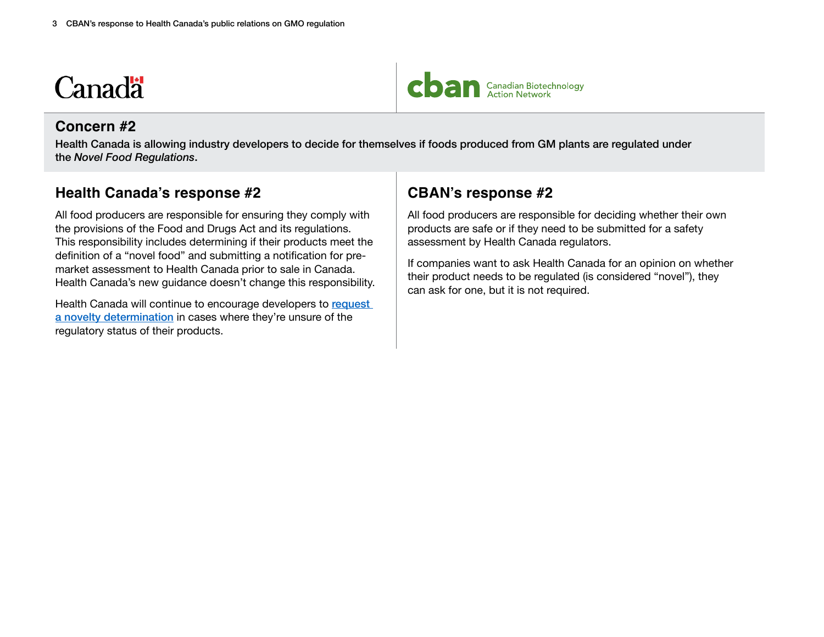#### **Concern #2**

Health Canada is allowing industry developers to decide for themselves if foods produced from GM plants are regulated under the *Novel Food Regulations*.

#### **Health Canada's response #2**

All food producers are responsible for ensuring they comply with the provisions of the Food and Drugs Act and its regulations. This responsibility includes determining if their products meet the definition of a "novel food" and submitting a notification for premarket assessment to Health Canada prior to sale in Canada. Health Canada's new guidance doesn't change this responsibility.

Health Canada will continue to encourage developers to request [a novelty determination](https://www.canada.ca/en/health-canada/services/food-nutrition/genetically-modified-foods-other-novel-foods/requesting-novelty-determination.html) in cases where they're unsure of the regulatory status of their products.

### **CBAN's response #2**

All food producers are responsible for deciding whether their own products are safe or if they need to be submitted for a safety assessment by Health Canada regulators.

If companies want to ask Health Canada for an opinion on whether their product needs to be regulated (is considered "novel"), they can ask for one, but it is not required.

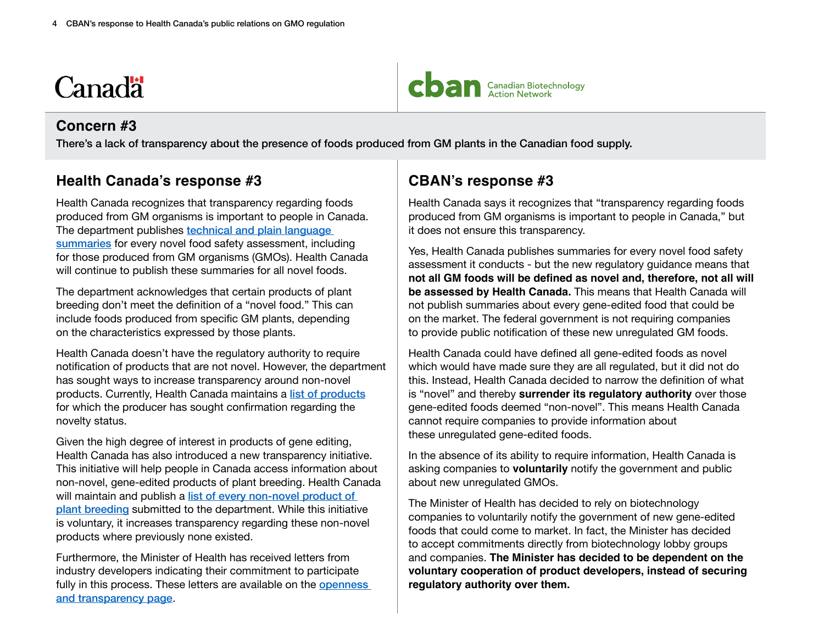#### **Concern #3**

There's a lack of transparency about the presence of foods produced from GM plants in the Canadian food supply.

#### **Health Canada's response #3**

Health Canada recognizes that transparency regarding foods produced from GM organisms is important to people in Canada. The department publishes technical and plain language [summaries](https://www.canada.ca/en/health-canada/services/food-nutrition/genetically-modified-foods-other-novel-foods/approved-products.html) for every novel food safety assessment, including for those produced from GM organisms (GMOs). Health Canada will continue to publish these summaries for all novel foods.

The department acknowledges that certain products of plant breeding don't meet the definition of a "novel food." This can include foods produced from specific GM plants, depending on the characteristics expressed by those plants.

Health Canada doesn't have the regulatory authority to require notification of products that are not novel. However, the department has sought ways to increase transparency around non-novel products. Currently, Health Canada maintains a [list of products](https://www.canada.ca/en/health-canada/services/food-nutrition/genetically-modified-foods-other-novel-foods/requesting-novelty-determination/list-non-novel-determinations.html) for which the producer has sought confirmation regarding the novelty status.

Given the high degree of interest in products of gene editing, Health Canada has also introduced a new [transparency initiative](https://www.canada.ca/en/health-canada/services/food-nutrition/genetically-modified-foods-other-novel-foods/transparency-initiative.html). This initiative will help people in Canada access information about non-novel, gene-edited products of plant breeding. Health Canada will maintain and publish a list of every non-novel product of [plant breeding](https://www.canada.ca/en/health-canada/services/food-nutrition/genetically-modified-foods-other-novel-foods/transparency-initiative/list-non-novel-products-plant-breeding-food-use.html) submitted to the department. While this initiative is voluntary, it increases transparency regarding these non-novel products where previously none existed.

Furthermore, the Minister of Health has received letters from industry developers indicating their commitment to participate fully in this process. These letters are available on the openness [and transparency page](https://www.canada.ca/en/health-canada/services/food-nutrition/genetically-modified-foods-other-novel-foods/transparency-privacy-regulatory-guidance-novel-foods/meetings-correspondence.html).

### **CBAN's response #3**

Health Canada says it recognizes that "transparency regarding foods produced from GM organisms is important to people in Canada," but it does not ensure this transparency.

Yes, Health Canada publishes summaries for every novel food safety assessment it conducts - but the new regulatory guidance means that **not all GM foods will be defined as novel and, therefore, not all will be assessed by Health Canada.** This means that Health Canada will not publish summaries about every gene-edited food that could be on the market. The federal government is not requiring companies to provide public notification of these new unregulated GM foods.

Health Canada could have defined all gene-edited foods as novel which would have made sure they are all regulated, but it did not do this. Instead, Health Canada decided to narrow the definition of what is "novel" and thereby **surrender its regulatory authority** over those gene-edited foods deemed "non-novel". This means Health Canada cannot require companies to provide information about these unregulated gene-edited foods.

In the absence of its ability to require information, Health Canada is asking companies to **voluntarily** notify the government and public about new unregulated GMOs.

The Minister of Health has decided to rely on biotechnology companies to voluntarily notify the government of new gene-edited foods that could come to market. In fact, the Minister has decided to accept commitments directly from biotechnology lobby groups and companies. **The Minister has decided to be dependent on the voluntary cooperation of product developers, instead of securing regulatory authority over them.**

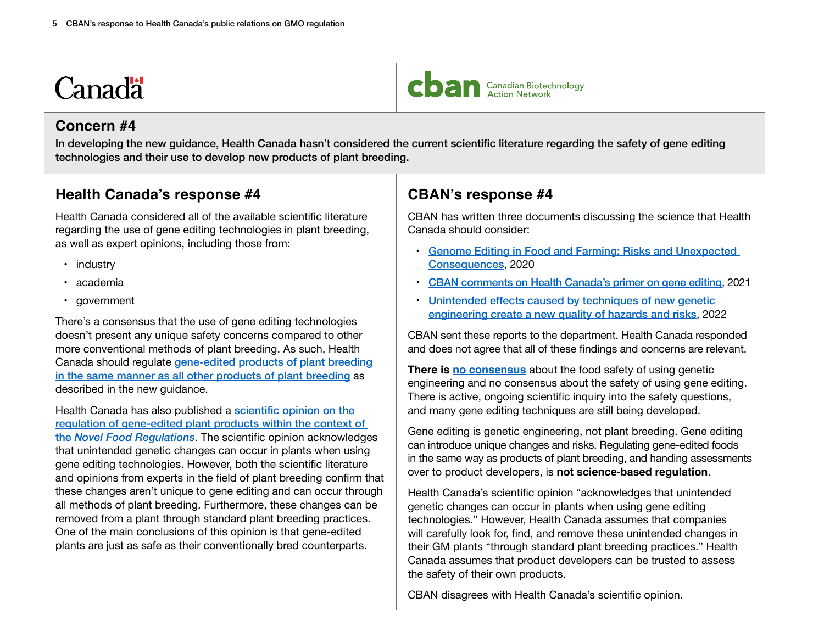#### **Concern #4**

In developing the new guidance, Health Canada hasn't considered the current scientific literature regarding the safety of gene editing technologies and their use to develop new products of plant breeding.

#### **Health Canada's response #4**

Health Canada considered all of the available scientific literature regarding the use of gene editing technologies in plant breeding, as well as expert opinions, including those from:

- industry
- academia
- government

There's a consensus that the use of gene editing technologies doesn't present any unique safety concerns compared to other more conventional methods of plant breeding. As such, Health Canada should regulate [gene-edited products of plant breeding](https://www.canada.ca/en/health-canada/services/food-nutrition/genetically-modified-foods-other-novel-foods/scientific-opinion-regulation-gene-edited-plant-products-within-context-division-28-food-drug-regulations.html#a9)  [in the same manner as all other products of plant breeding](https://www.canada.ca/en/health-canada/services/food-nutrition/genetically-modified-foods-other-novel-foods/scientific-opinion-regulation-gene-edited-plant-products-within-context-division-28-food-drug-regulations.html#a9) as described in the new guidance.

Health Canada has also published a scientific opinion on the [regulation of gene-edited plant products within the context of](https://www.canada.ca/en/health-canada/services/food-nutrition/genetically-modified-foods-other-novel-foods/scientific-opinion-regulation-gene-edited-plant-products-within-context-division-28-food-drug-regulations.html)  the *[Novel Food Regulations](https://www.canada.ca/en/health-canada/services/food-nutrition/genetically-modified-foods-other-novel-foods/scientific-opinion-regulation-gene-edited-plant-products-within-context-division-28-food-drug-regulations.html)*. The scientific opinion acknowledges that unintended genetic changes can occur in plants when using gene editing technologies. However, both the scientific literature and opinions from experts in the field of plant breeding confirm that these changes aren't unique to gene editing and can occur through all methods of plant breeding. Furthermore, these changes can be removed from a plant through standard plant breeding practices. One of the main conclusions of this opinion is that gene-edited plants are just as safe as their conventionally bred counterparts.

### **CBAN's response #4**

CBAN has written three documents discussing the science that Health Canada should consider:

- [Genome Editing in Food and Farming: Risks and Unexpected](https://cban.ca/wp-content/uploads/Genome-Editing-Report-2020.pdf)  [Consequences](https://cban.ca/wp-content/uploads/Genome-Editing-Report-2020.pdf), 2020
- [CBAN comments on Health Canada's primer on gene editing](https://cban.ca/wp-content/uploads/CBAN-comments-to-HC-consultation-on-gene-editing-primer-June-23-2021.pdf), 2021
- [Unintended effects caused by techniques of new genetic](https://cban.ca/wp-content/uploads/New_GE_unintended_effects.pdf)  [engineering create a new quality of hazards and risks](https://cban.ca/wp-content/uploads/New_GE_unintended_effects.pdf), 2022

CBAN sent these reports to the department. Health Canada responded and does not agree that all of these findings and concerns are relevant.

**There is [no consensus](https://enveurope.springeropen.com/articles/10.1186/s12302-014-0034-1)** about the food safety of using genetic engineering and no consensus about the safety of using gene editing. There is active, ongoing scientific inquiry into the safety questions, and many gene editing techniques are still being developed.

Gene editing is genetic engineering, not plant breeding. Gene editing can introduce unique changes and risks. Regulating gene-edited foods in the same way as products of plant breeding, and handing assessments over to product developers, is **not science-based regulation**.

Health Canada's scientific opinion "acknowledges that unintended genetic changes can occur in plants when using gene editing technologies." However, Health Canada assumes that companies will carefully look for, find, and remove these unintended changes in their GM plants "through standard plant breeding practices." Health Canada assumes that product developers can be trusted to assess the safety of their own products.

CBAN disagrees with Health Canada's scientific opinion.